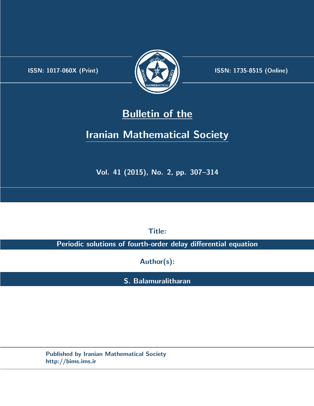.



**ISSN:** 1017-060X (Print)  $\left| \left( \frac{1}{2} \sum \frac{1}{k} \right) \right|$  **ISSN:** 1735-8515 (Online)

# **Bulletin of the**

# **Iranian Mathematical Society**

**Vol. 41 (2015), No. 2, pp. 307–314**

**Title:**

**Periodic solutions of fourth-order delay differential equation**

**Author(s):**

**S. Balamuralitharan**

**Published by Iranian Mathematical Society http://bims.ims.ir**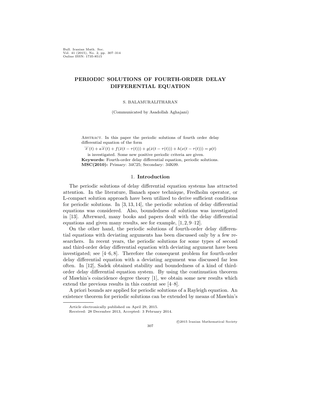Bull. Iranian Math. Soc. Vol. 41 (2015), No. 2, pp. 307–314 Online ISSN: 1735-8515

# **PERIODIC SOLUTIONS OF FOURTH-ORDER DELAY DIFFERENTIAL EQUATION**

S. BALAMURALITHARAN

(Communicated by Asadollah Aghajani)

Abstract. In this paper the periodic solutions of fourth order delay differential equation of the form

 $\dddot{x}(t) + a\dddot{x}(t) + f(\ddot{x}(t-\tau(t))) + g(\dot{x}(t-\tau(t))) + h(x(t-\tau(t))) = p(t)$ is investigated. Some new positive periodic criteria are given. **Keywords:** Fourth-order delay differential equation, periodic solutions. **MSC(2010):** Primary: 34C25; Secondary: 34K09.

## 1. **Introduction**

The periodic solutions of delay differential equation systems has attracted attention. In the literature, Banach space technique, Fredholm operator, or L-compact solution approach have been utilized to derive sufficient conditions for periodic solutions. In [\[3](#page-8-0), [13,](#page-8-1) [14](#page-8-2)], the periodic solution of delay differential equations was considered. Also, boundedness of solutions was investigated in [\[13](#page-8-1)]. Afterward, many books and papers dealt with the delay differential equations and given many results, see for example, [[1](#page-8-3), [2,](#page-8-4) [9–](#page-8-5)[12\]](#page-8-6).

On the other hand, the periodic solutions of fourth-order delay differential equations with deviating arguments has been discussed only by a few researchers. In recent years, the periodic solutions for some types of second and third-order delay differential equation with deviating argument have been investigated; see [[4–](#page-8-7)[6,](#page-8-8) [8](#page-8-9)]. Therefore the consequent problem for fourth-order delay differential equation with a deviating argument was discussed far less often. In [[12\]](#page-8-6), Sadek obtained stability and boundedness of a kind of thirdorder delay differential equation system. By using the continuation theorem of Mawhin's coincidence degree theory [[1\]](#page-8-3), we obtain some new results which extend the previous results in this content see [\[4](#page-8-7)[–8](#page-8-9)].

A priori bounds are applied for periodic solutions of a Rayleigh equation. An existence theorem for periodic solutions can be extended by means of Mawhin's

307

*⃝*c 2015 Iranian Mathematical Society

Article electronically published on April 29, 2015.

Received: 28 December 2013, Accepted: 3 February 2014.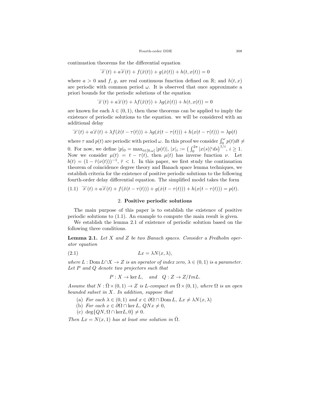continuation theorems for the differential equation

$$
\dddot{x}^*(t) + a\ddot{x}(t) + f(\ddot{x}(t)) + g(\dot{x}(t)) + h(t, x(t)) = 0
$$

where  $a > 0$  and  $f, g$ , are real continuous function defined on  $\mathbb{R}$ ; and  $h(t, x)$ are periodic with common period  $\omega$ . It is observed that once approximate a priori bounds for the periodic solutions of the equation

$$
\dddot{x}(t) + a\dddot{x}(t) + \lambda f(\ddot{x}(t)) + \lambda g(\dot{x}(t)) + h(t, x(t)) = 0
$$

are known for each  $\lambda \in (0,1)$ , then these theorems can be applied to imply the existence of periodic solutions to the equation. we will be considered with an additional delay

$$
\dddot{x}^{\cdot}(t) + a\dddot{x}^{\cdot}(t) + \lambda f(\ddot{x}(t-\tau(t))) + \lambda g(\dot{x}(t-\tau(t))) + h(x(t-\tau(t))) = \lambda p(t)
$$

where  $\tau$  and  $p(t)$  are periodic with period  $\omega$ . In this proof we consider  $\int_0^{\omega} p(t)dt \neq$ 0. For now, we define  $|p|_0 = \max_{t \in [0,\omega]} |p(t)|$ ,  $|x|_i := (\int_0^{2\pi} |x(s)|^i ds)^{1/i}$ ,  $i \ge 1$ . Now we consider  $\mu(t) = t - \tau(t)$ , then  $\mu(t)$  has inverse function *ν*. Let  $b(t) = (1 - \dot{\tau}(\nu(t)))^{-1}, \dot{\tau} < 1.$  In this paper, we first study the continuation theorem of coincidence degree theory and Banach space lemma techniques, we establish criteria for the existence of positive periodic solutions to the following fourth-order delay differential equation. The simplified model takes the form

<span id="page-2-0"></span>
$$
(1.1) \quad \dddot{x}(t) + a\dddot{x}(t) + f(\ddot{x}(t-\tau(t))) + g(\dot{x}(t-\tau(t))) + h(x(t-\tau(t))) = p(t).
$$

# 2. **Positive periodic solutions**

The main purpose of this paper is to establish the existence of positive periodic solutions to ([1.1\)](#page-2-0). An example to compute the main result is given.

We establish the lemma [2.1](#page-2-1) of existence of periodic solution based on the following three conditions.

<span id="page-2-1"></span>**Lemma 2.1.** *Let X and Z be two Banach spaces. Consider a Fredholm operator equation*

$$
(2.1) \t\t\t Lx = \lambda N(x, \lambda),
$$

*where*  $L: \text{Dom } L \cap X \to Z$  *is an operator of index zero,*  $\lambda \in (0,1)$  *is a parameter. Let P and Q denote two projectors such that*

$$
P: X \to \ker L
$$
, and  $Q: Z \to Z/ImL$ .

*Assume that*  $N : \overline{\Omega} \times (0,1) \to Z$  *is L-compact on*  $\overline{\Omega} \times (0,1)$ *, where*  $\Omega$  *is an open bounded subset in X. In addition, suppose that*

- (a) *For each*  $\lambda \in (0,1)$  *and*  $x \in \partial \Omega \cap \text{Dom } L$ ,  $Lx \neq \lambda N(x,\lambda)$
- (b) *For each*  $x \in \partial\Omega \cap \ker L$ ,  $QNx \neq 0$ ,
- $(c) \deg\{QN, \Omega \cap \text{ker}L, 0\} \neq 0.$

*Then*  $Lx = N(x, 1)$  *has at least one solution in*  $\overline{\Omega}$ *.*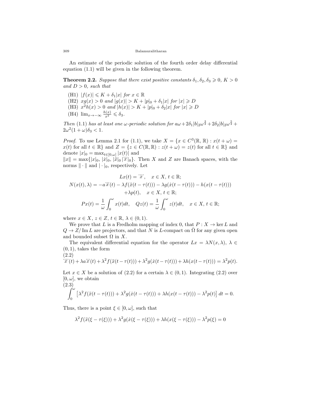An estimate of the periodic solution of the fourth order delay differential equation ([1.1](#page-2-0)) will be given in the following theorem.

<span id="page-3-2"></span>**Theorem 2.2.** *Suppose that there exist positive constants*  $\delta_1, \delta_2, \delta_3 \geq 0, K > 0$ *and D >* 0*, such that*

- $(H1)$   $|f(x)| \leq K + \delta_1 |x|$  for  $x \in \mathbb{R}$
- $(H2)$   $xg(x) > 0$  and  $|g(x)| > K + |p|_0 + \delta_1 |x|$  for  $|x| \ge D$
- $(H3)$   $x^2h(x) > 0$  and  $|h(x)| > K + |p|_0 + \delta_2|x|$  for  $|x| \ge D$
- (H4) lim*<sup>x</sup>→−∞ h*(*x*) *<sup>x</sup>*<sup>2</sup> ⩽ *δ*3*.*

*Then* [\(1.1\)](#page-2-0) *has at least one ω-periodic solution for*  $a\omega + 2\delta_1|b|_2\omega^{\frac{3}{2}} + 2\delta_2|b|_2\omega^{\frac{5}{2}}$  +  $2\omega^2(1+\omega)\delta_3 < 1$ .

*Proof.* To use Lemma [2.1](#page-2-1) for ([1.1](#page-2-0)), we take  $X = \{x \in C^3(\mathbb{R}, \mathbb{R}) : x(t + \omega) =$ *x*(*t*) for all  $t \in \mathbb{R}$ *}* and  $Z = \{z \in C(\mathbb{R}, \mathbb{R}) : z(t + \omega) = z(t)$  for all  $t \in \mathbb{R}$ *}* and denote  $|x|_0 = \max_{t \in [0,\omega]} |x(t)|$  and

*|x*<sup>|</sup>| = max{|*x*|<sub>0</sub>, |*i*<sup>*z*</sup>|<sub>0</sub>, |*i*<sup>*x*</sup>|<sub>0</sub> |*i*<sup>*x*</sup>|<sub>0</sub>}. Then *X* and *Z* are Banach spaces, with the norms *∥ · ∥* and *| · |*0, respectively. Let

$$
Lx(t) = \dddot{x}, \quad x \in X, t \in \mathbb{R};
$$
  
\n
$$
N(x(t), \lambda) = -a\dddot{x}(t) - \lambda f(\ddot{x}(t - \tau(t))) - \lambda g(\dot{x}(t - \tau(t))) - h(x(t - \tau(t)))
$$
  
\n
$$
+ \lambda p(t), \quad x \in X, t \in \mathbb{R};
$$
  
\n
$$
Px(t) = \frac{1}{\omega} \int_0^{\omega} x(t)dt, \quad Qz(t) = \frac{1}{\omega} \int_0^{\omega} z(t)dt, \quad x \in X, t \in \mathbb{R};
$$

where  $x \in X$ ,  $z \in Z$ ,  $t \in \mathbb{R}$ ,  $\lambda \in (0,1)$ .

We prove that *L* is a Fredholm mapping of index 0, that  $P: X \to \text{ker } L$  and  $Q \rightarrow Z/\text{Im } L$  are projectors, and that *N* is *L*-compact on  $\overline{\Omega}$  for any given open and bounded subset  $\Omega$  in  $X$ .

The equivalent differential equation for the operator  $Lx = \lambda N(x, \lambda), \lambda \in$  $(0, 1)$ , takes the form

<span id="page-3-0"></span>(2.2)  
\n
$$
\dddot{x}(t) + \lambda a \ddot{x}(t) + \lambda^2 f(\ddot{x}(t - \tau(t))) + \lambda^2 g(\dot{x}(t - \tau(t))) + \lambda h(x(t - \tau(t))) = \lambda^2 p(t).
$$

Let  $x \in X$  be a solution of [\(2.2\)](#page-3-0) for a certain  $\lambda \in (0,1)$ . Integrating [\(2.2](#page-3-0)) over  $[0, \omega]$ , we obtain

<span id="page-3-1"></span>(2.3)  

$$
\int_0^{\omega} \left[ \lambda^2 f(\ddot{x}(t-\tau(t))) + \lambda^2 g(\dot{x}(t-\tau(t))) + \lambda h(x(t-\tau(t))) - \lambda^2 p(t) \right] dt = 0.
$$

Thus, there is a point  $\xi \in [0, \omega]$ , such that

$$
\lambda^{2} f(\ddot{x}(\xi - \tau(\xi))) + \lambda^{2} g(\dot{x}(\xi - \tau(\xi))) + \lambda h(x(\xi - \tau(\xi))) - \lambda^{2} p(\xi) = 0
$$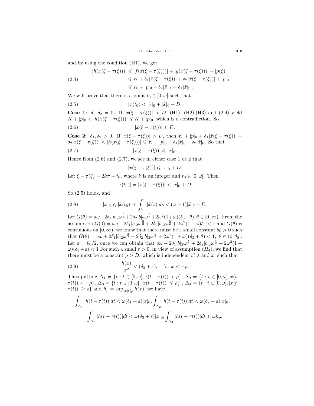and by using the condition (H1), we get

<span id="page-4-0"></span>
$$
|h(x(\xi - \tau(\xi)))| \le |f(\ddot{x}(\xi - \tau(\xi)))| + |g(\dot{x}(\xi - \tau(\xi)))| + |p(\xi)|
$$
  
\n
$$
\le K + \delta_1 |\ddot{x}(\xi - \tau(\xi))| + \delta_2 |\dot{x}(\xi - \tau(\xi))| + |p|_0
$$
  
\n
$$
\le K + |p|_0 + \delta_2 |\ddot{x}|_0 + \delta_1 |\dot{x}|_0.
$$

We will prove that there is a point  $t_0 \in [0, \omega]$  such that

<span id="page-4-3"></span>(2.5) 
$$
|x(t_0)| < |\ddot{x}|_0 + |\dot{x}|_0 + D.
$$

**Case 1:**  $\delta_1, \delta_2 = 0$ . If  $|x(\xi - \tau(\xi))| > D$ , (H1), (H2), (H3) and ([2.4](#page-4-0)) yield  $K + |p|_0 < |h(x(\xi - \tau(\xi)))| \leq K + |p|_0$ , which is a contradiction. So

$$
(2.6) \t\t\t |x(\xi - \tau(\xi))| \leq D.
$$

**Case 2:**  $\delta_1, \delta_2 > 0$ . If  $|x(\xi - \tau(\xi))| > D$ , then  $K + |p|_0 + \delta_1 |\dot{x}(\xi - \tau(\xi))|$  +  $\delta_2|x(\xi-\tau(\xi))| < |h(x(\xi-\tau(\xi)))| \leqslant K + |p|_0 + \delta_1|\ddot{x}|_0 + \delta_2|\dot{x}|_0.$  So that  $|x(\xi - \tau(\xi))| \leq |\ddot{x}|_0.$ 

Hence from  $(2.6)$  and  $(2.7)$  $(2.7)$ , we see in either case 1 or 2 that

<span id="page-4-2"></span><span id="page-4-1"></span>
$$
|x(\xi - \tau(\xi))| \leq |x|_0 + D.
$$

Let  $\xi - \tau(\xi) = 2k\pi + t_0$ , where *k* is an integer and  $t_0 \in [0, \omega]$ . Then

<span id="page-4-4"></span>
$$
|x(t_0)| = |x(\xi - \tau(\xi))| < |\ddot{x}|_0 + D.
$$

So ([2.5\)](#page-4-3) holds, and

(2.8) 
$$
|x|_0 \leq |x(t_0)| + \int_0^{\omega} |\ddot{x}(s)| ds < (\omega + 1)|\ddot{x}|_0 + D.
$$

Let  $G(\theta) = a\omega + 2\delta_1|b|_2\omega^{\frac{3}{2}} + 2\delta_2|b|_2\omega^{\frac{5}{2}} + 2\omega^2(1+\omega)(\delta_3+\theta), \theta \in [0,\infty)$ . From the assumption  $G(0) = a\omega + 2\delta_1|b|_2\omega^{\frac{3}{2}} + 2\delta_2|b|_2\omega^{\frac{5}{2}} + 2\omega^2(1+\omega)\delta_3 < 1$  and  $G(\theta)$  is continuous on  $[0, \infty)$ , we know that there must be a small constant  $\theta_0 > 0$  such that  $G(\theta) = a\omega + 2\delta_1|b|_2\omega^{\frac{3}{2}} + 2\delta_2|b|_2\omega^{\frac{5}{2}} + 2\omega^2(1+\omega)(\delta_3+\theta) < 1, \ \theta \in (0,\theta_0].$ Let  $\varepsilon = \theta_0/2$ , once we can obtain that  $a\omega + 2\delta_1|b|_2\omega^{\frac{3}{2}} + 2\delta_2|b|_2\omega^{\frac{5}{2}} + 2\omega^2(1+\omega^2)$ *ω*)( $\delta_3 + \varepsilon$ ) < 1 For such a small  $\varepsilon > 0$ , in view of assumption (*H*<sub>4</sub>), we find that there must be a constant  $\rho > D$ , which is independent of  $\lambda$  and  $x$ , such that

(2.9) 
$$
\frac{h(x)}{x^2} < (\delta_3 + \varepsilon), \text{ for } x < -\rho.
$$

Thus putting  $\Delta_1 = \{t : t \in [0, \omega], x(t - \tau(t)) > \rho\}, \Delta_2 = \{t : t \in [0, \omega], x(t - \tau(t)) > \rho\}$  $\tau(t))<-\rho\},$   $\Delta_3=\{t:t\in[0,\omega], |x(t-\tau(t))|\leqslant\rho\}$  ,  $\Delta_4=\{t:t\in[0,\omega], |x(t-\tau)|\leqslant\rho\}$  $\tau(t)$ )|  $\geq \rho$ } and  $h_{\rho} = \sup_{|x| \leq \rho} h(x)$ , we have

$$
\int_{\Delta_1} |h(t-\tau(t))|dt < \omega(\delta_1+\varepsilon)|x|_0, \int_{\Delta_2} |h(t-\tau(t))|dt < \omega(\delta_2+\varepsilon)|x|_0,
$$
  

$$
\int_{\Delta_3} |h(t-\tau(t))|dt < \omega(\delta_3+\varepsilon)|x|_0, \int_{\Delta_4} |h(t-\tau(t))|dt \le \omega h_\rho.
$$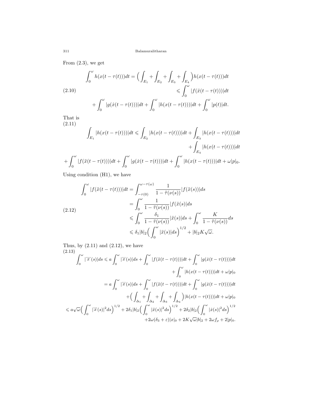From  $(2.3)$ , we get

$$
\int_0^{\omega} h(x(t - \tau(t)))dt = \Big(\int_{E_1} + \int_{E_2} + \int_{E_3} + \int_{E_4}\Big)h(x(t - \tau(t)))dt
$$
  
(2.10)  

$$
\leq \int_0^{\omega} |f(\ddot{x}(t - \tau(t)))|dt
$$
  

$$
+ \int_0^{\omega} |g(\dot{x}(t - \tau(t)))|dt + \int_0^{\omega} |h(x(t - \tau(t)))|dt + \int_0^{\omega} |p(t)|dt.
$$

That is (2.11)

$$
\int_{E_1} |h(x(t-\tau(t)))|dt \le \int_{E_2} |h(x(t-\tau(t)))|dt + \int_{E_3} |h(x(t-\tau(t)))|dt
$$

$$
+ \int_{E_4} |h(x(t-\tau(t)))|dt
$$

$$
\int_0^\omega |f(\ddot{x}(t-\tau(t)))|dt + \int_0^\omega |g(\dot{x}(t-\tau(t)))|dt + \int_0^\omega |h(x(t-\tau(t)))|dt + \omega|p|_{0}.
$$

<span id="page-5-0"></span>
$$
+\int_0^{\omega} |f(\ddot{x}(t-\tau(t)))|dt+\int_0^{\omega} |g(\dot{x}(t-\tau(t)))|dt+\int_0^{\omega} |h(x(t-\tau(t)))|dt+\omega|p|_0.
$$

Using condition (H1), we have

<span id="page-5-1"></span>
$$
\int_0^{\omega} |f(\ddot{x}(t-\tau(t)))|dt = \int_{-\tau(0)}^{\omega-\tau(\omega)} \frac{1}{1-\ddot{\tau}(\nu(s))} |f(\ddot{x}(s))|ds
$$
  
\n
$$
= \int_0^{\omega} \frac{1}{1-\ddot{\tau}(\nu(s))} |f(\ddot{x}(s)|ds
$$
  
\n
$$
\leqslant \int_0^{\omega} \frac{\delta_1}{1-\ddot{\tau}(\nu(s))} |\ddot{x}(s)|ds + \int_0^{\omega} \frac{K}{1-\ddot{\tau}(\nu(s))} ds
$$
  
\n
$$
\leqslant \delta_1 |b|_2 \Big(\int_0^{\omega} |\ddot{x}(s)|ds\Big)^{1/2} + |b|_2 K\sqrt{\omega}.
$$

Thus, by  $(2.11)$  $(2.11)$  and  $(2.12)$  $(2.12)$ , we have  $(2.13)$ 

<span id="page-5-2"></span>
$$
\int_0^{\omega} |\ddot{x}(s)|ds \le a \int_0^{\omega} |\ddot{x}(s)|ds + \int_0^{\omega} |f(\ddot{x}(t-\tau(t)))|dt + \int_0^{\omega} |g(\dot{x}(t-\tau(t)))|dt
$$

$$
+ \int_0^{\omega} |h(x(t-\tau(t)))|dt + \omega|p|_0
$$

$$
= a \int_0^{\omega} |\ddot{x}(s)|ds + \int_0^{\omega} |f(\ddot{x}(t-\tau(t)))|dt + \int_0^{\omega} |g(\dot{x}(t-\tau(t)))|dt
$$

$$
+ \left(\int_{\Delta_1} + \int_{\Delta_2} + \int_{\Delta_3} + \int_{\Delta_4}\right) |h(x(t-\tau(t)))|dt + \omega|p|_0
$$

$$
\le a\sqrt{\omega} \left(\int_0^{\omega} |\ddot{x}(s)|^2 ds\right)^{1/2} + 2\delta_1 |b|_2 \left(\int_0^{\omega} |\ddot{x}(s)|^2 ds\right)^{1/2} + 2\delta_2 |b|_2 \left(\int_0^{\omega} |\dot{x}(s)|^2 ds\right)^{1/2}
$$

$$
+ 2\omega(\delta_3 + \varepsilon)|x|_0 + 2K\sqrt{\omega}|b|_2 + 2\omega f_\rho + 2|p|_0.
$$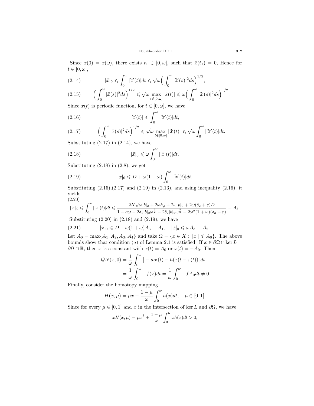Since  $x(0) = x(\omega)$ , there exists  $t_1 \in [0, \omega]$ , such that  $\ddot{x}(t_1) = 0$ , Hence for  $t \in [0, \omega],$ 

<span id="page-6-1"></span>(2.14) 
$$
|\ddot{x}|_0 \leqslant \int_0^{\omega} |\ddot{x}(t)| dt \leqslant \sqrt{\omega} \Big( \int_0^{\omega} |\ddot{x}(s)|^2 ds \Big)^{1/2},
$$

<span id="page-6-3"></span>
$$
(2.15)\qquad \Big(\int_0^\omega |\ddot{x}(s)|^2 ds\Big)^{1/2} \leqslant \sqrt{\omega}\max_{t\in[0,\omega]}|\ddot{x}(t)|\leqslant \omega\Big(\int_0^\omega |\ddot{x}(s)|^2 ds\Big)^{1/2}.
$$

Since  $x(t)$  is periodic function, for  $t \in [0, \omega]$ , we have

<span id="page-6-5"></span>(2.16) 
$$
|\dddot{x}(t)| \leqslant \int_0^{\omega} |\dddot{x}(t)| dt,
$$

<span id="page-6-0"></span>(2.17) 
$$
\left(\int_0^{\omega} |\ddot{x}(s)|^2 ds\right)^{1/2} \leq \sqrt{\omega} \max_{t \in [0,\omega]} |\dddot{x}(t)| \leq \sqrt{\omega} \int_0^{\omega} |\dddot{x}(t)| dt.
$$

Substituting  $(2.17)$  in  $(2.14)$  $(2.14)$  $(2.14)$ , we have

<span id="page-6-2"></span>(2.18) 
$$
|\ddot{x}|_0 \leqslant \omega \int_0^{\omega} |\dddot{x}(t)| dt.
$$

Substituting  $(2.18)$  in  $(2.8)$  $(2.8)$  $(2.8)$ , we get

<span id="page-6-4"></span>(2.19) 
$$
|x|_0 \leq D + \omega(1+\omega) \int_0^{\omega} |\ddot{x}(t)| dt.
$$

Substituting  $(2.15),(2.17)$  $(2.15),(2.17)$  $(2.15),(2.17)$  $(2.15),(2.17)$  and  $(2.19)$  $(2.19)$  in  $(2.13)$ , and using inequality  $(2.16)$  $(2.16)$ , it yields (2.20)

<span id="page-6-6"></span>
$$
|\dddot{x}|_0 \leqslant \int_0^{\omega} |\ddot{x}(t)| dt \leqslant \frac{2K\sqrt{\omega}|b|_2 + 2\omega h_\rho + 2\omega|p|_0 + 2\omega(\delta_2 + \varepsilon)D}{1 - a\omega - 2\delta_1|b|_2\omega^{\frac{3}{2}} - 2\delta_2|b|_2\omega^{\frac{5}{2}} - 2\omega^2(1 + \omega)(\delta_3 + \varepsilon)} \equiv A_3.
$$

Substituting  $(2.20)$  $(2.20)$  in  $(2.18)$  $(2.18)$  and  $(2.19)$ , we have

$$
(2.21) \t|x|_0 \leq D + \omega(1+\omega)A_3 \equiv A_1, \t|x|_0 \leq \omega A_3 \equiv A_2.
$$

Let  $A_0 = \max\{A_1, A_2, A_3, A_4\}$  and take  $\Omega = \{x \in X : ||x|| \leq A_0\}$ . The above bounds show that condition (*a*) of Lemma [2.1](#page-2-1) is satisfied. If  $x \in \partial\Omega \cap \ker L =$  $∂Ω ∩ ℝ$ , then *x* is a constant with  $x(t) = A_0$  or  $x(t) = -A_0$ . Then

$$
QN(x,0) = \frac{1}{\omega} \int_0^{\omega} \left[ -a\ddot{x}(t) - h(x(t-\tau(t)) \right] dt
$$

$$
= \frac{1}{\omega} \int_0^{\omega} -f(x)dt = \frac{1}{\omega} \int_0^{\omega} -fA_0 dt \neq 0
$$

Finally, consider the homotopy mapping

$$
H(x, \mu) = \mu x + \frac{1 - \mu}{\omega} \int_0^{\omega} h(x) dt, \quad \mu \in [0, 1].
$$

Since for every  $\mu \in [0,1]$  and *x* in the intersection of ker *L* and  $\partial \Omega$ , we have

$$
xH(x,\mu) = \mu x^2 + \frac{1-\mu}{\omega} \int_0^{\omega} xh(x)dt > 0,
$$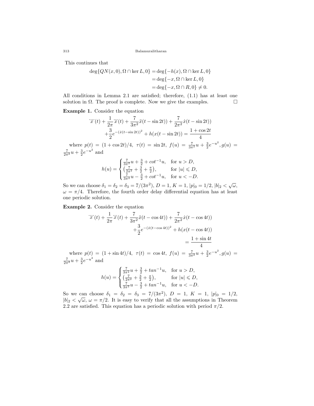313 Balamuralitharan

This continues that

$$
deg\{QN(x,0),\Omega \cap \ker L,0\} = deg\{-h(x),\Omega \cap \ker L,0\}
$$
  
= deg $\{-x,\Omega \cap \ker L,0\}$   
= deg $\{-x,\Omega \cap R,0\} \neq 0$ .

All conditions in Lemma [2.1](#page-2-1) are satisfied; therefore, [\(1.1\)](#page-2-0) has at least one solution in  $\Omega$ . The proof is complete. Now we give the examples.  $\Box$ 

**Example 1.** Consider the equation

$$
\dddot{x}(t) + \frac{1}{2\pi} \dddot{x}(t) + \frac{7}{3\pi^2} \ddot{x}(t - \sin 2t) + \frac{7}{2\pi^2} \dot{x}(t - \sin 2t) \n+ \frac{3}{2} e^{-(\dot{x}(t - \sin 2t))^2} + h(x(t - \sin 2t)) = \frac{1 + \cos 2t}{4}
$$

where  $p(t) = (1 + \cos 2t)/4$ ,  $\tau(t) = \sin 2t$ ,  $f(u) = \frac{7}{3\pi^2}u + \frac{3}{2}e^{-u^2}$ ,  $g(u) =$  $\frac{7}{2\pi^2}u + \frac{3}{2}e^{-u^2}$  and

$$
h(u) = \begin{cases} \frac{7}{3\pi^2}u + \frac{3}{2} + \cot^{-1}u, & \text{for } u > D, \\ \frac{7}{2\pi^2}u + \frac{3}{2} + \frac{\pi}{2}, & \text{for } |u| \leq D, \\ \frac{7}{3\pi^2}u - \frac{3}{2} + \cot^{-1}u, & \text{for } u < -D. \end{cases}
$$

So we can choose  $\delta_1 = \delta_2 = \delta_3 = 7/(3\pi^2)$ ,  $D = 1$ ,  $K = 1$ ,  $|p|_0 = 1/2$ ,  $|b|_2 < \sqrt{\omega}$ ,  $\omega = \pi/4$ . Therefore, the fourth order delay differential equation has at least one periodic solution.

**Example 2.** Consider the equation

$$
\dddot{x}(t) + \frac{1}{2\pi} \dddot{x}(t) + \frac{7}{3\pi^2} \ddot{x}(t - \cos 4t) + \frac{7}{2\pi^2} \dot{x}(t - \cos 4t) \n+ \frac{3}{2} e^{-(\dot{x}(t - \cos 4t))^2} + h(x(t - \cos 4t)) \n= \frac{1 + \sin 4t}{4}
$$

where  $p(t) = (1 + \sin 4t)/4$ ,  $\tau(t) = \cos 4t$ ,  $f(u) = \frac{7}{3\pi^2}u + \frac{3}{2}e^{-u^2}$ ,  $g(u) =$  $\frac{7}{2\pi^2}u + \frac{3}{2}e^{-u^2}$  and

$$
h(u) = \begin{cases} \frac{7}{3\pi^2}u + \frac{3}{2} + \tan^{-1}u, & \text{for } u > D, \\ \left(\frac{7}{2\pi^2} + \frac{3}{2} + \frac{\pi}{2}\right), & \text{for } |u| \leq D, \\ \frac{7}{3\pi^2}u - \frac{3}{2} + \tan^{-1}u, & \text{for } u < -D. \end{cases}
$$

So we can choose  $\delta_1 = \delta_2 = \delta_3 = 7/(3\pi^2)$ ,  $D = 1$ ,  $K = 1$ ,  $|p|_0 = 1/2$ ,  $|b|_2 < \sqrt{\omega}$ ,  $\omega = \pi/2$ . It is easy to verify that all the assumptions in Theorem [2.2](#page-3-2) are satisfied. This equation has a periodic solution with period  $\pi/2$ .